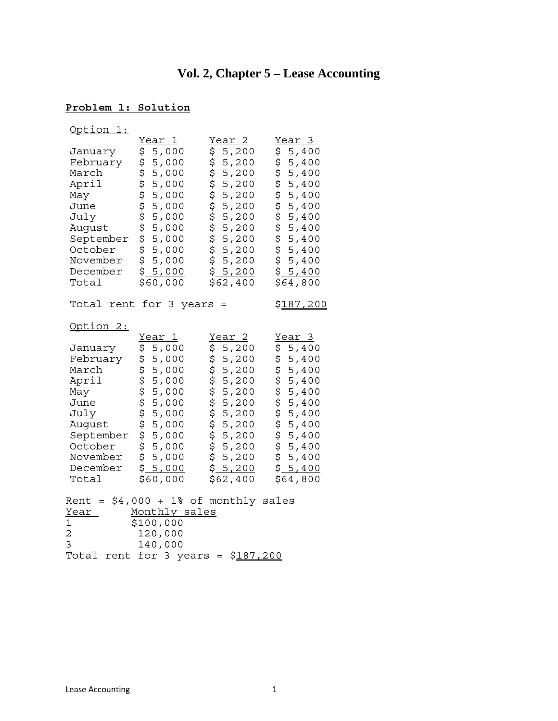# **Vol. 2, Chapter 5 – Lease Accounting**

# **Problem 1: Solution**

| Option 1:                                                                                                                                    |                                                                                                                                                                                   |                                                                                                                                                                     |                                                                                                                                                                                                     |
|----------------------------------------------------------------------------------------------------------------------------------------------|-----------------------------------------------------------------------------------------------------------------------------------------------------------------------------------|---------------------------------------------------------------------------------------------------------------------------------------------------------------------|-----------------------------------------------------------------------------------------------------------------------------------------------------------------------------------------------------|
| January<br>February<br>March<br>April<br>May<br>June<br>July<br>August<br>September<br>October<br>November<br>December<br>Total              | Year 1<br>\$<br>5,000<br>ሳን ሳን ሳን ሳን ሳን ሳን ሳን ሳን<br>5,000<br>5,000<br>5,000<br>5,000<br>5,000<br>5,000<br>5,000<br>5,000<br>5,000<br>\$<br>5,000<br>\$5,000<br>\$60,000           | Year <sub>2</sub><br>5,200<br>\$<br>ひっちゅう ひっと かんし<br>5,200<br>5,200<br>5,200<br>5,200<br>5,200<br>5,200<br>5,200<br>5,200<br>5,200<br>5,200<br>\$5,200<br>\$62,400  | Year 3<br>\$<br>5,400<br>\$<br>5,400<br><b>ላን ላን ላን ላን ላን ላን ላን ላን</b><br>5,400<br>5,400<br>5,400<br>5,400<br>5,400<br>5,400<br>5,400<br>$5,400$<br>\$5,400<br>\$5,400<br>\$64,800                  |
|                                                                                                                                              | Total rent for 3 years                                                                                                                                                            | $=$                                                                                                                                                                 | <u>\$187,200</u>                                                                                                                                                                                    |
| Option 2:<br>January<br>February<br>March<br>April<br>May<br>June<br>July<br>August<br>September<br>October<br>November<br>December<br>Total | Year 1<br>\$<br>5,000<br>\$<br>5,000<br>to to to to to to to to<br>5,000<br>5,000<br>5,000<br>5,000<br>5,000<br>5,000<br>5,000<br>5,000<br>\$<br>5,000<br>\$<br>5,000<br>\$60,000 | <u>Year 2</u><br>5,200<br>\$<br>\$<br>5,200<br>ひとりからさら<br>5,200<br>5,200<br>5,200<br>5,200<br>5,200<br>5,200<br>5,200<br>5,200<br>5,200<br>\$.<br>5,200<br>\$62,400 | Year 3<br>5,400<br>\$<br>\$<br>5,400<br>$5,400$<br>$5,400$<br>$5,400$<br>$5,400$<br>$5,400$<br>$5,400$<br>$5,400$<br>$5,400$<br>$5,400$<br>$5,400$<br>$5,400$<br>\$<br>5,400<br>\$5,400<br>\$64,800 |
| Rent<br>Year<br>$\mathbf 1$<br>$\overline{2}$<br>3<br>Total rent                                                                             | $=$ \$4,000 + 1% of monthly sales<br>Monthly sales<br>\$100,000<br>120,000<br>140,000<br>for<br>3 years =                                                                         | \$187,200                                                                                                                                                           |                                                                                                                                                                                                     |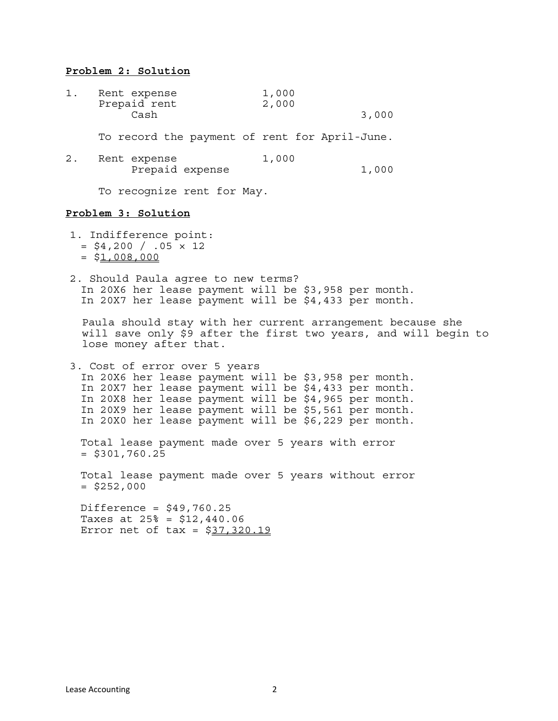#### **Problem 2: Solution**

| 1. | Rent expense<br>Prepaid rent                  | 1,000<br>2,000 |       |
|----|-----------------------------------------------|----------------|-------|
|    | Cash                                          |                | 3,000 |
|    | To record the payment of rent for April-June. |                |       |
| 2. | Rent expense<br>Prepaid expense               | 1,000          | 1,000 |
|    | To recognize rent for May.                    |                |       |

#### **Problem 3: Solution**

- 1. Indifference point:  $=$  \$4,200 / .05  $\times$  12  $= $1,008,000$
- 2. Should Paula agree to new terms? In 20X6 her lease payment will be \$3,958 per month. In 20X7 her lease payment will be \$4,433 per month.

Paula should stay with her current arrangement because she will save only \$9 after the first two years, and will begin to lose money after that.

3. Cost of error over 5 years In 20X6 her lease payment will be \$3,958 per month. In 20X7 her lease payment will be \$4,433 per month. In 20X8 her lease payment will be \$4,965 per month. In 20X9 her lease payment will be \$5,561 per month. In 20X0 her lease payment will be \$6,229 per month.

 Total lease payment made over 5 years with error  $=$  \$301,760.25

 Total lease payment made over 5 years without error  $=$  \$252,000

Difference =  $$49,760.25$  Taxes at 25% = \$12,440.06 Error net of tax =  $$37,320.19$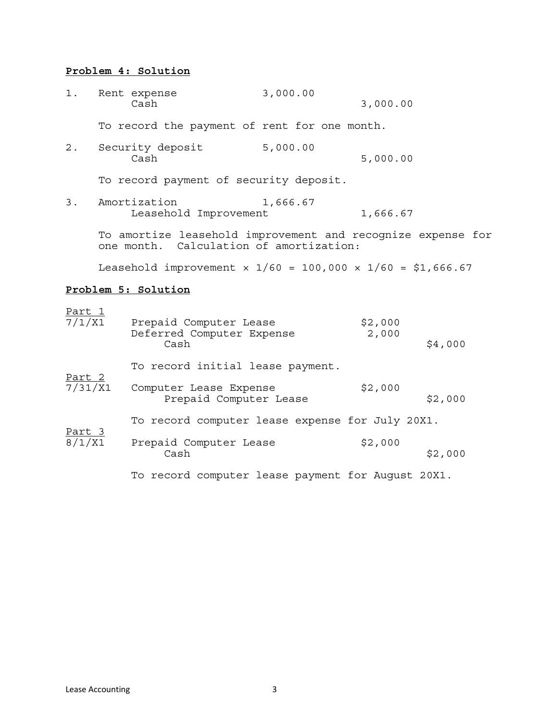## **Problem 4: Solution**

| 1.                      | Rent expense<br>Cash                                                                                   | 3,000.00 | 3,000.00         |         |
|-------------------------|--------------------------------------------------------------------------------------------------------|----------|------------------|---------|
|                         | To record the payment of rent for one month.                                                           |          |                  |         |
| $2$ .                   | Security deposit<br>Cash                                                                               | 5,000.00 | 5,000.00         |         |
|                         | To record payment of security deposit.                                                                 |          |                  |         |
| 3.                      | Amortization<br>Leasehold Improvement                                                                  | 1,666.67 | 1,666.67         |         |
|                         | To amortize leasehold improvement and recognize expense for<br>one month. Calculation of amortization: |          |                  |         |
|                         | Leasehold improvement $x 1/60 = 100,000 \times 1/60 = $1,666.67$                                       |          |                  |         |
|                         | Problem 5: Solution                                                                                    |          |                  |         |
| <u>Part 1</u><br>7/1/X1 | Prepaid Computer Lease<br>Deferred Computer Expense<br>Cash                                            |          | \$2,000<br>2,000 | \$4,000 |
|                         | To record initial lease payment.                                                                       |          |                  |         |
| Part 2<br>7/31/X1       | Computer Lease Expense<br>Prepaid Computer Lease                                                       |          | \$2,000          | \$2,000 |
|                         | To record computer lease expense for July 20X1.                                                        |          |                  |         |
| <u>Part 3</u><br>8/1/X1 | Prepaid Computer Lease<br>Cash                                                                         |          | \$2,000          | \$2,000 |
|                         | To record computer lease payment for August 20X1.                                                      |          |                  |         |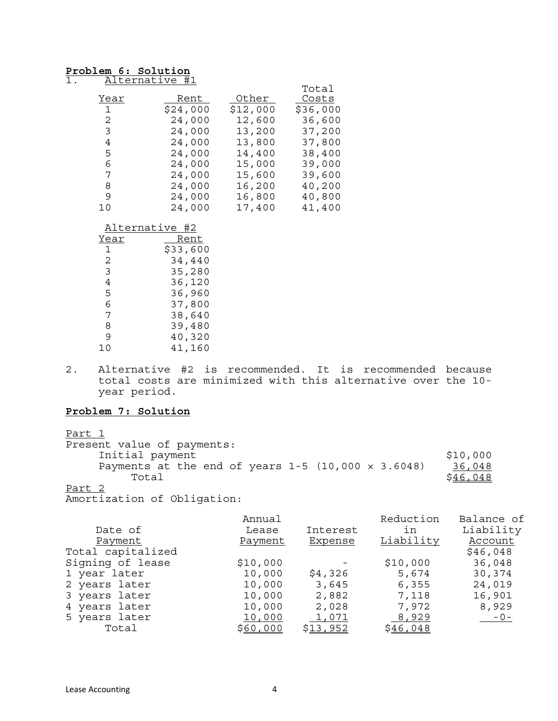#### **Problem 6: Solution** 1. Alternative #1

|              |          |          | Total    |
|--------------|----------|----------|----------|
| Year         | Rent     | Other    | Costs    |
| $\mathbf{1}$ | \$24,000 | \$12,000 | \$36,000 |
| 2            | 24,000   | 12,600   | 36,600   |
| 3            | 24,000   | 13,200   | 37,200   |
| 4            | 24,000   | 13,800   | 37,800   |
| 5            | 24,000   | 14,400   | 38,400   |
| 6            | 24,000   | 15,000   | 39,000   |
| 7            | 24,000   | 15,600   | 39,600   |
| 8            | 24,000   | 16,200   | 40,200   |
| 9            | 24,000   | 16,800   | 40,800   |
| 10           | 24,000   | 17,400   | 41,400   |

#### Alternative #2

| Year           | Rent     |
|----------------|----------|
| 1              | \$33,600 |
| $\mathfrak{D}$ | 34,440   |
| 3              | 35,280   |
| 4              | 36,120   |
| 5              | 36,960   |
| 6              | 37,800   |
| 7              | 38,640   |
| 8              | 39,480   |
| 9              | 40,320   |
|                | 41,160   |

2. Alternative #2 is recommended. It is recommended because total costs are minimized with this alternative over the 10 year period.

#### **Problem 7: Solution**

#### Part 1

| Present value of payments:                                  |          |
|-------------------------------------------------------------|----------|
| Initial payment                                             | \$10,000 |
| Payments at the end of years $1-5$ (10,000 $\times$ 3.6048) | 36,048   |
| Total                                                       | \$46,048 |
| <b>P.U.O.</b>                                               |          |

Part 2

Amortization of Obligation:

|                   | Annual   |          | Reduction | Balance of |
|-------------------|----------|----------|-----------|------------|
| Date of           | Lease    | Interest | ın        | Liability  |
| Payment           | Payment  | Expense  | Liability | Account    |
| Total capitalized |          |          |           | \$46,048   |
| Signing of lease  | \$10,000 |          | \$10,000  | 36,048     |
| 1 year later      | 10,000   | \$4,326  | 5,674     | 30,374     |
| 2 years later     | 10,000   | 3,645    | 6,355     | 24,019     |
| 3 years later     | 10,000   | 2,882    | 7,118     | 16,901     |
| 4 years later     | 10,000   | 2,028    | 7,972     | 8,929      |
| 5 years later     | 10,000   | 1,071    | 8,929     | $-0-$      |
| Total             | \$60,000 | \$13,952 | \$46,048  |            |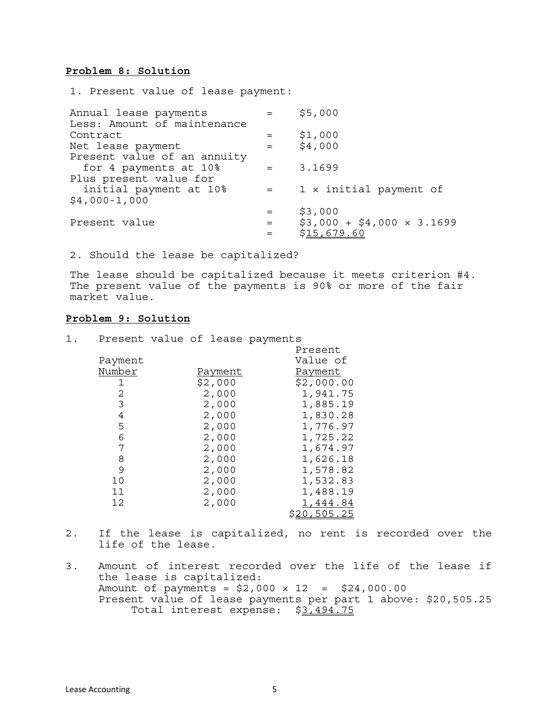#### **Problem 8: Solution**

1. Present value of lease payment:

| Annual lease payments<br>Less: Amount of maintenance | $=$                                        | \$5,000                         |
|------------------------------------------------------|--------------------------------------------|---------------------------------|
|                                                      |                                            |                                 |
| Contract                                             | $=$                                        | \$1,000                         |
| Net lease payment                                    | $=$                                        | \$4,000                         |
| Present value of an annuity                          |                                            |                                 |
| for 4 payments at 10%                                | $\mathbf{r} = \mathbf{r} \cdot \mathbf{r}$ | 3.1699                          |
| Plus present value for                               |                                            |                                 |
| initial payment at 10%                               | $=$                                        | 1 x initial payment of          |
| $$4,000-1,000$                                       |                                            |                                 |
|                                                      |                                            | \$3,000                         |
| Present value                                        | $=$                                        | $$3,000 + $4,000 \times 3.1699$ |
|                                                      | $=$                                        | \$15,679.60                     |
|                                                      |                                            |                                 |

2. Should the lease be capitalized?

1. Present value of lease payments

The lease should be capitalized because it meets criterion #4. The present value of the payments is 90% or more of the fair market value.

#### **Problem 9: Solution**

|         |         | Present     |
|---------|---------|-------------|
| Payment |         | Value of    |
| Number  | Payment | Payment     |
| 1       | \$2,000 | \$2,000.00  |
| 2       | 2,000   | 1,941.75    |
| 3       | 2,000   | 1,885.19    |
| 4       | 2,000   | 1,830.28    |
| 5       | 2,000   | 1,776.97    |
| 6       | 2,000   | 1,725.22    |
| 7       | 2,000   | 1,674.97    |
| 8       | 2,000   | 1,626.18    |
| 9       | 2,000   | 1,578.82    |
| 10      | 2,000   | 1,532.83    |
| 11      | 2,000   | 1,488.19    |
| 12      | 2,000   | 1,444.84    |
|         |         | \$20,505.25 |

- 2. If the lease is capitalized, no rent is recorded over the life of the lease.
- 3. Amount of interest recorded over the life of the lease if the lease is capitalized: Amount of payments =  $$2,000 \times 12 = $24,000.00$ Present value of lease payments per part 1 above: \$20,505.25 Total interest expense: \$3,494.75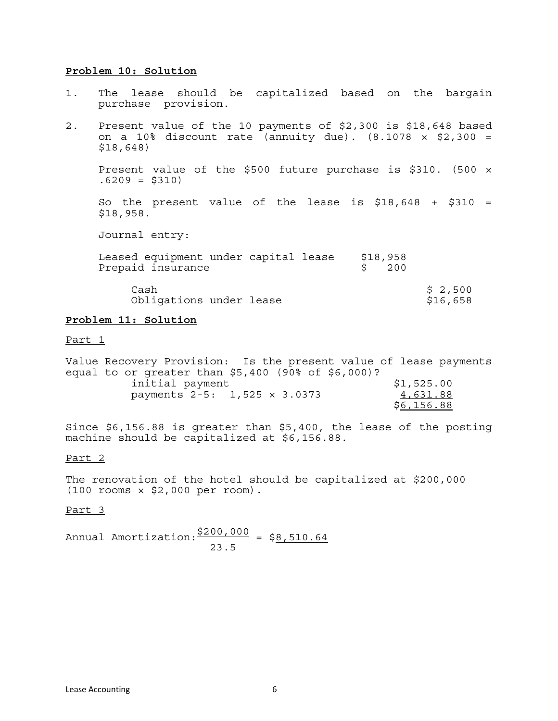#### **Problem 10: Solution**

- 1. The lease should be capitalized based on the bargain purchase provision.
- 2. Present value of the 10 payments of \$2,300 is \$18,648 based on a 10% discount rate (annuity due).  $(8.1078 \times $2,300 =$ \$18,648)

Present value of the \$500 future purchase is \$310. (500 ×  $.6209 = $310$ 

So the present value of the lease is  $$18,648$  +  $$310$  = \$18,958.

Journal entry:

| Leased equipment under capital lease<br>Prepaid insurance | \$18,958<br>200 |                     |
|-----------------------------------------------------------|-----------------|---------------------|
| Cash<br>Obligations under lease                           |                 | \$2,500<br>\$16,658 |

#### **Problem 11: Solution**

Part 1

| Value Recovery Provision: Is the present value of lease payments |            |
|------------------------------------------------------------------|------------|
| equal to or qreater than $$5,400$ (90% of $$6,000$ )?            |            |
| initial payment                                                  | \$1,525.00 |
| payments 2-5: 1,525 x 3.0373                                     | 4,631.88   |
|                                                                  | \$6,156.88 |

Since \$6,156.88 is greater than \$5,400, the lease of the posting machine should be capitalized at \$6,156.88.

#### Part 2

The renovation of the hotel should be capitalized at \$200,000 (100 rooms × \$2,000 per room).

#### Part 3

Annual Amortization:  $\frac{$200,000}{$8,510.64}$ 23.5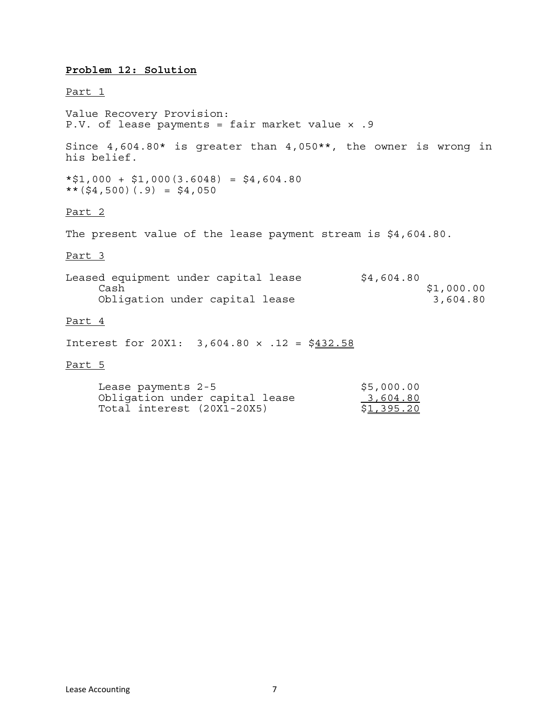#### **Problem 12: Solution**

#### Part 1

Value Recovery Provision: P.V. of lease payments = fair market value x .9

Since 4,604.80\* is greater than 4,050\*\*, the owner is wrong in his belief.

 $*$1,000 + $1,000(3.6048) = $4,604.80$  $**$ (\$4,500)(.9) = \$4,050

#### Part 2

The present value of the lease payment stream is \$4,604.80.

#### Part 3

| Leased equipment under capital lease | \$4,604.80 |
|--------------------------------------|------------|
| Cash                                 | \$1,000.00 |
| Obligation under capital lease       | 3,604.80   |

#### Part 4

Interest for 20X1:  $3,604.80 \times .12 = $432.58$ 

#### Part 5

| Lease payments 2-5             | \$5,000.00        |
|--------------------------------|-------------------|
| Obligation under capital lease | 3,604.80          |
| Total interest (20X1-20X5)     | <u>\$1,395.20</u> |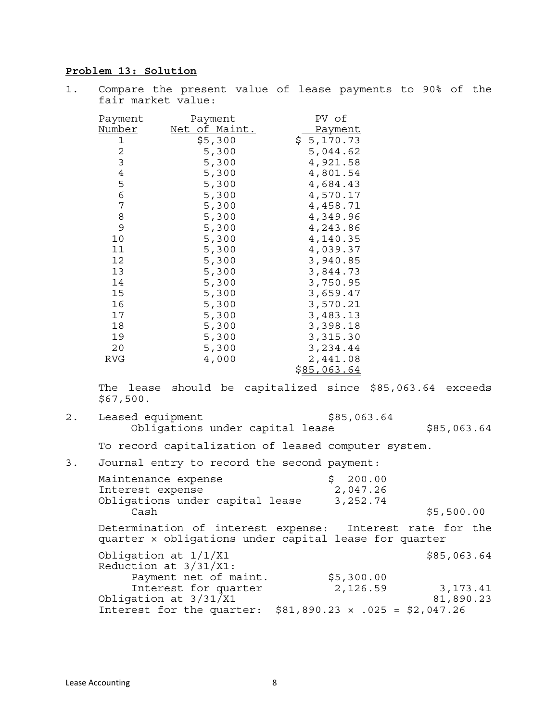#### **Problem 13: Solution**

| $1$ . | fair market value:     |               | Compare the present value of lease payments to 90% of the |                      |  |  |
|-------|------------------------|---------------|-----------------------------------------------------------|----------------------|--|--|
|       | Payment                | Payment       |                                                           | PV of                |  |  |
|       | Number                 | Net of Maint. |                                                           | Payment              |  |  |
|       | 1                      | \$5,300       | \$5,170.73                                                |                      |  |  |
|       | $\overline{c}$         | 5,300         |                                                           | 5,044.62             |  |  |
|       | 3                      | 5,300         |                                                           | 4,921.58             |  |  |
|       | $\ensuremath{4}$       | 5,300         |                                                           | 4,801.54             |  |  |
|       | 5                      | 5,300         |                                                           | 4,684.43             |  |  |
|       | $\overline{6}$         | 5,300         |                                                           | 4,570.17             |  |  |
|       | $\boldsymbol{7}$       | 5,300         |                                                           | 4,458.71             |  |  |
|       | 8                      | 5,300         |                                                           | 4,349.96             |  |  |
|       | 9                      | 5,300         |                                                           | 4,243.86             |  |  |
|       | 10                     | 5,300         |                                                           | 4,140.35             |  |  |
|       | 11                     | 5,300         |                                                           | 4,039.37             |  |  |
|       | 12                     | 5,300         |                                                           | 3,940.85             |  |  |
|       | 13                     | 5,300         |                                                           | 3,844.73             |  |  |
|       | 14                     | 5,300         |                                                           | 3,750.95             |  |  |
|       | 15                     | 5,300         |                                                           | 3,659.47             |  |  |
|       | 16                     | 5,300         |                                                           | 3,570.21             |  |  |
|       | 17                     | 5,300         |                                                           | 3,483.13             |  |  |
|       | 18                     | 5,300         |                                                           | 3,398.18<br>3,315.30 |  |  |
|       | 19                     | 5,300         |                                                           |                      |  |  |
|       | 20                     | 5,300         |                                                           | 3,234.44             |  |  |
|       | <b>RVG</b>             | 4,000         |                                                           | 2,441.08             |  |  |
|       |                        |               |                                                           | \$85,063.64          |  |  |
|       | The lease<br>\$67,500. |               | should be capitalized since \$85,063.64 exceeds           |                      |  |  |
| 2.    | Leased equipment       |               |                                                           | \$85,063.64          |  |  |

Obligations under capital lease  $$85,063.64$ 

To record capitalization of leased computer system.

| 3. Journal entry to record the second payment: |                      |
|------------------------------------------------|----------------------|
| Maintenance expense<br>Interest expense        | \$200.00<br>2,047.26 |
| Obligations under capital lease                | 3,252.74             |

Cash  $\frac{1}{5,500.00}$ Determination of interest expense: Interest rate for the quarter × obligations under capital lease for quarter Obligation at  $1/1/X1$  \$85,063.64 Reduction at 3/31/X1: Payment net of maint.  $$5,300.00$ Interest for quarter 2,126.59 3,173.41 Obligation at  $3/31/X1$  81,890.23 Interest for the quarter: \$81,890.23 × .025 = \$2,047.26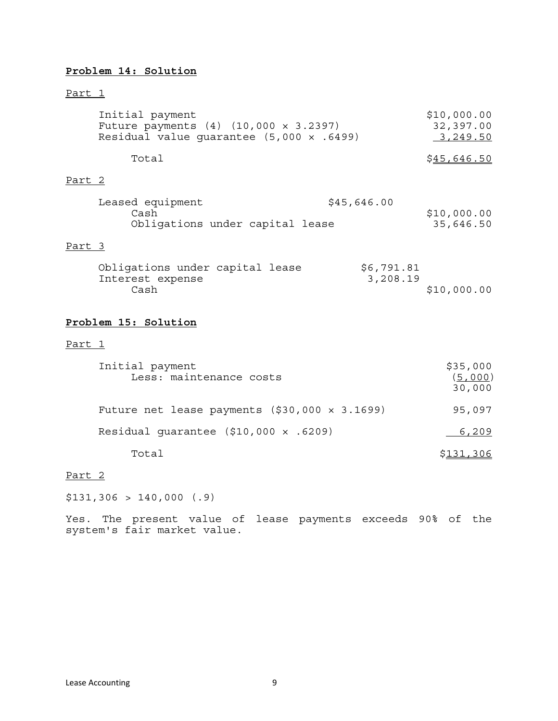## **Problem 14: Solution**

#### Part 1

|        | Initial payment<br>Future payments (4) (10,000 x 3.2397)<br>Residual value guarantee $(5,000 \times .6499)$ | \$10,000.00<br>32,397.00<br>3, 249.50 |                               |
|--------|-------------------------------------------------------------------------------------------------------------|---------------------------------------|-------------------------------|
|        | Total                                                                                                       |                                       | \$45,646.50                   |
| Part 2 |                                                                                                             |                                       |                               |
|        | Leased equipment<br>Cash<br>Obligations under capital lease                                                 | \$45,646.00                           | \$10,000.00<br>35,646.50      |
| Part 3 |                                                                                                             |                                       |                               |
|        | Obligations under capital lease<br>Interest expense<br>Cash                                                 | \$6,791.81<br>3,208.19                | \$10,000.00                   |
|        | Problem 15: Solution                                                                                        |                                       |                               |
| Part 1 |                                                                                                             |                                       |                               |
|        | Initial payment<br>Less: maintenance costs                                                                  |                                       | \$35,000<br>(5,000)<br>30,000 |
|        | Future net lease payments $( $30,000 \times 3.1699)$                                                        |                                       | 95,097                        |
|        | Residual guarantee $($10,000 \times .6209)$                                                                 |                                       | 6,209                         |

Total \$131,306

#### Part 2

\$131,306 > 140,000 (.9)

Yes. The present value of lease payments exceeds 90% of the system's fair market value.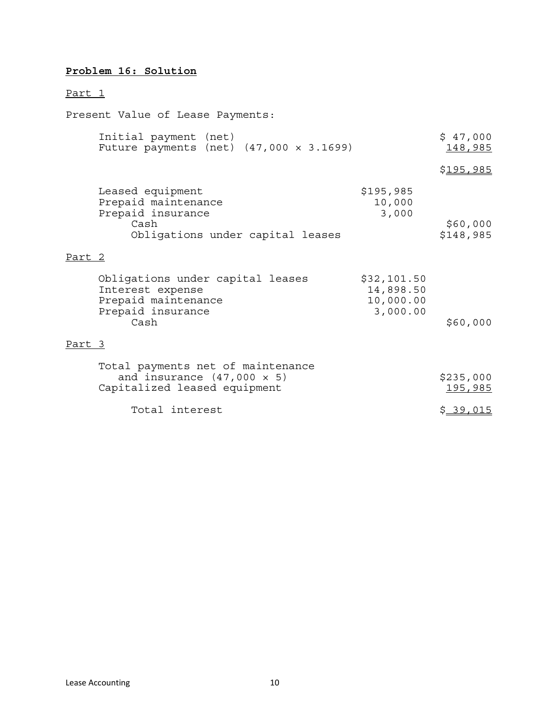# **Problem 16: Solution**

# Part 1

Present Value of Lease Payments:

|        | Initial payment (net)<br>Future payments (net) $(47,000 \times 3.1699)$                                  |                                                   | \$47,000<br>148,985         |
|--------|----------------------------------------------------------------------------------------------------------|---------------------------------------------------|-----------------------------|
|        |                                                                                                          |                                                   | \$ <u>195,985</u>           |
|        | Leased equipment<br>Prepaid maintenance<br>Prepaid insurance<br>Cash<br>Obligations under capital leases | \$195,985<br>10,000<br>3,000                      | \$60,000<br>\$148,985       |
| Part 2 |                                                                                                          |                                                   |                             |
|        | Obligations under capital leases<br>Interest expense<br>Prepaid maintenance<br>Prepaid insurance<br>Cash | \$32,101.50<br>14,898.50<br>10,000.00<br>3,000.00 | \$60,000                    |
| Part 3 |                                                                                                          |                                                   |                             |
|        | Total payments net of maintenance<br>and insurance $(47,000 \times 5)$<br>Capitalized leased equipment   |                                                   | \$235,000<br><u>195,985</u> |
|        | Total interest                                                                                           |                                                   | \$39,015                    |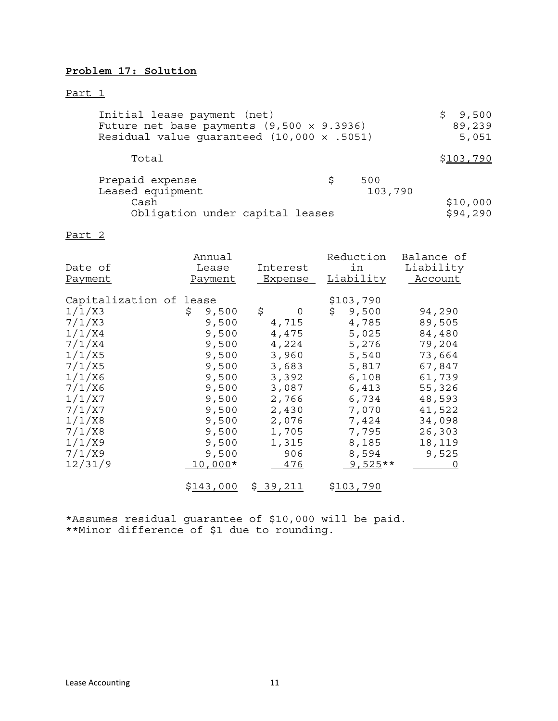## **Problem 17: Solution**

#### Part 1

| Initial lease payment (net)<br>Future net base payments $(9,500 \times 9.3936)$<br>Residual value quaranteed $(10,000 \times .5051)$ | 9,500<br>89,239<br>5,051 |                |                      |
|--------------------------------------------------------------------------------------------------------------------------------------|--------------------------|----------------|----------------------|
| Total                                                                                                                                |                          |                | <u>\$103,790</u>     |
| Prepaid expense<br>Leased equipment<br>Cash<br>Obligation under capital leases                                                       | S.                       | 500<br>103,790 | \$10,000<br>\$94,290 |

#### Part 2

| Date of<br>Payment                                                                                                                                                             | Annual<br>Lease<br>Payment                                                                                                                    | Interest<br><b>Expense</b>                                                                                                        | Reduction<br>in<br><b>Liability</b>                                                                                                                        | Balance of<br>Liability<br>Account                                                                                                      |
|--------------------------------------------------------------------------------------------------------------------------------------------------------------------------------|-----------------------------------------------------------------------------------------------------------------------------------------------|-----------------------------------------------------------------------------------------------------------------------------------|------------------------------------------------------------------------------------------------------------------------------------------------------------|-----------------------------------------------------------------------------------------------------------------------------------------|
| Capitalization of lease<br>1/1/X3<br>7/1/X3<br>1/1/X4<br>7/1/X4<br>1/1/X5<br>7/1/X5<br>1/1/X6<br>7/1/X6<br>1/1/X7<br>7/1/X7<br>1/1/X8<br>7/1/X8<br>1/1/X9<br>7/1/X9<br>12/31/9 | 9,500<br>\$<br>9,500<br>9,500<br>9,500<br>9,500<br>9,500<br>9,500<br>9,500<br>9,500<br>9,500<br>9,500<br>9,500<br>9,500<br>9,500<br>$10,000*$ | \$<br>0<br>4,715<br>4,475<br>4,224<br>3,960<br>3,683<br>3,392<br>3,087<br>2,766<br>2,430<br>2,076<br>1,705<br>1,315<br>906<br>476 | \$103,790<br>\$<br>9,500<br>4,785<br>5,025<br>5,276<br>5,540<br>5,817<br>6,108<br>6,413<br>6,734<br>7,070<br>7,424<br>7,795<br>8,185<br>8,594<br>$9,525**$ | 94,290<br>89,505<br>84,480<br>79,204<br>73,664<br>67,847<br>61,739<br>55,326<br>48,593<br>41,522<br>34,098<br>26,303<br>18,119<br>9,525 |
|                                                                                                                                                                                | \$143,000                                                                                                                                     | <u>\$39,211</u>                                                                                                                   | <u>\$103,790</u>                                                                                                                                           |                                                                                                                                         |

\*Assumes residual guarantee of \$10,000 will be paid. \*\*Minor difference of \$1 due to rounding.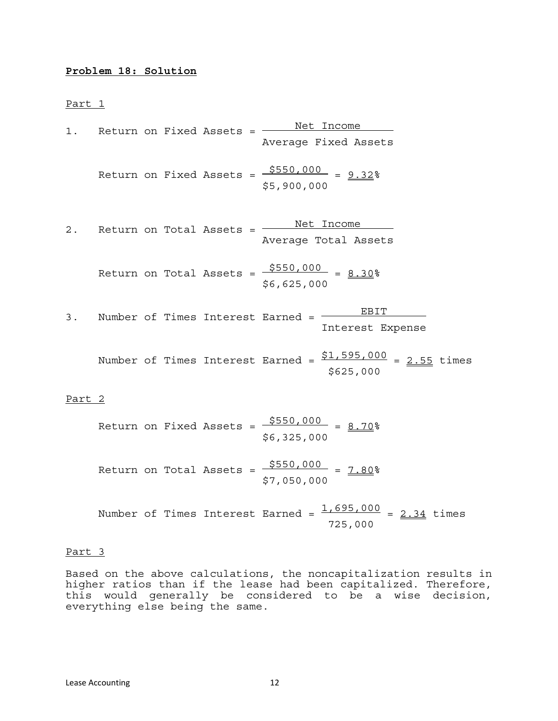#### **Problem 18: Solution**

Part 1

| 1.     |  | Return on Fixed Assets =          | Net Income                                                    |  |  |
|--------|--|-----------------------------------|---------------------------------------------------------------|--|--|
|        |  |                                   | Average Fixed Assets                                          |  |  |
|        |  | Return on Fixed Assets =          | $$550,000 = 9.32$<br>\$5,900,000                              |  |  |
| $2$ .  |  | Return on Total Assets =          | Net Income<br>Average Total Assets                            |  |  |
|        |  | Return on Total Assets =          | $$550,000 = 8.30$<br>\$6,625,000                              |  |  |
| 3.     |  |                                   | EBIT<br>Number of Times Interest Earned =<br>Interest Expense |  |  |
|        |  | Number of Times Interest Earned = | $\frac{$1,595,000}{$2.55}$ times<br>\$625,000                 |  |  |
| Part 2 |  |                                   |                                                               |  |  |

<u>rait z</u>

Return on Fixed Assets = 
$$
\frac{$550,000}{$6,325,000}
$$
 =  $\frac{8.70}{$}$   
Return on Total Assets =  $\frac{$550,000}{$7,050,000}$  =  $\frac{7.80}{$}$ 

Number of Times Interest Earned = 
$$
\frac{1,695,000}{725,000} = \frac{2.34}{100}
$$
 times

#### Part 3

Based on the above calculations, the noncapitalization results in higher ratios than if the lease had been capitalized. Therefore, this would generally be considered to be a wise decision, everything else being the same.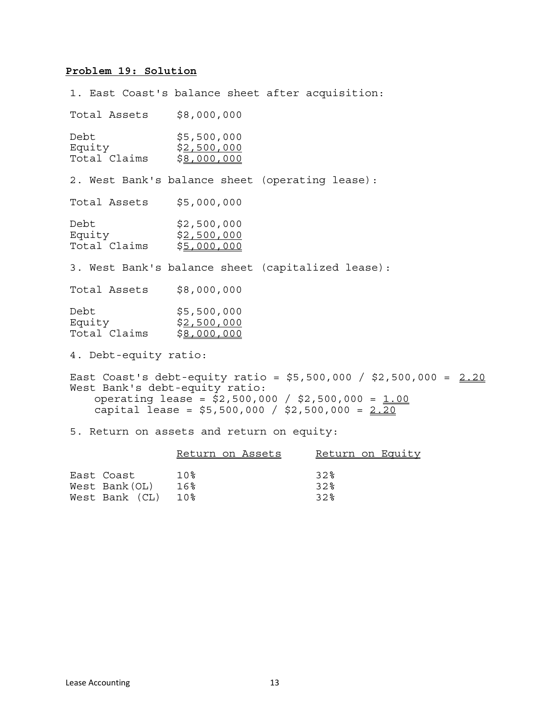#### **Problem 19: Solution**

1. East Coast's balance sheet after acquisition: Total Assets \$8,000,000 Debt \$5,500,000<br>Equity \$2,500,000 Equity \$2,500,000<br>Total Claims \$8,000,000 2. West Bank's balance sheet (operating lease): Total Assets \$5,000,000 Debt \$2,500,000<br>Equity \$2,500,000 Total Claims \$5,000,000 3. West Bank's balance sheet (capitalized lease): Total Assets \$8,000,000 Debt \$5,500,000<br>Equity \$2,500,000 \$<u>2,500,000</u><br>\$<u>8,000,000</u> Total Claims 4. Debt-equity ratio: East Coast's debt-equity ratio =  $$5,500,000 / $2,500,000 = 2.20$ West Bank's debt-equity ratio: operating lease =  $$2,500,000 / $2,500,000 = 1.00$ capital lease =  $$5,500,000 / $2,500,000 = 2.20$ 

5. Return on assets and return on equity:

|                | Return on Assets | Return on Equity |
|----------------|------------------|------------------|
|                |                  |                  |
| East Coast     | 1 0 %            | 32%              |
| West Bank(OL)  | 16%              | 32%              |
| West Bank (CL) | 1 0 %            | 32%              |